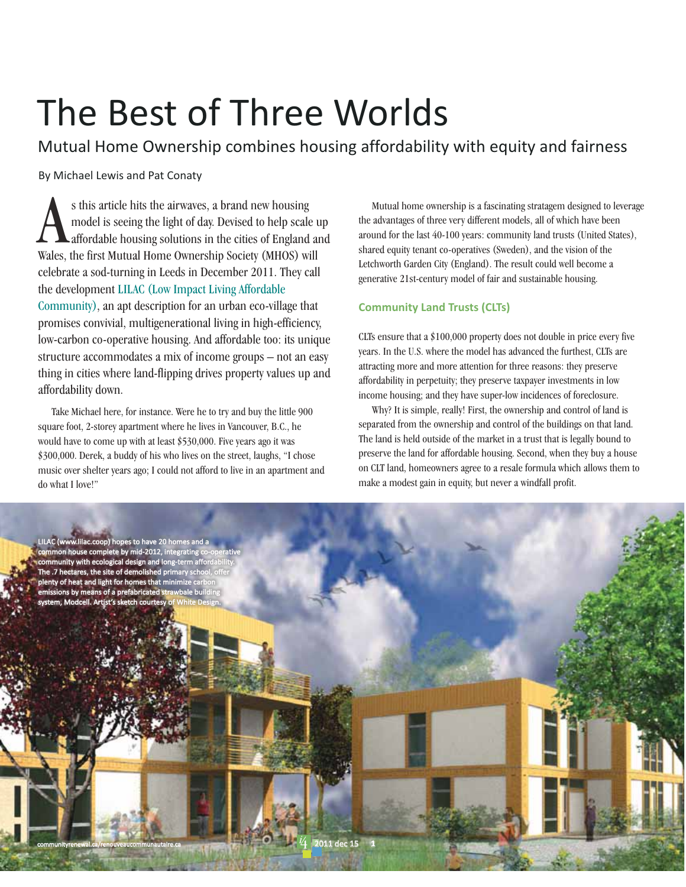# The Best of Three Worlds

Mutual Home Ownership combines housing affordability with equity and fairness

By Michael Lewis and Pat Conaty

s this article hits the airwayes, a brand new housing model is seeing the light of day. Devised to help scale up Alaffordable housing solutions in the cities of England and Wales, the first Mutual Home Ownership Society (MHOS) will celebrate a sod-turning in Leeds in December 2011. They call the development LILAC (Low Impact Living Affordable Community), an apt description for an urban eco-village that promises convivial, multigenerational living in high-efficiency, low-carbon co-operative housing. And affordable too: its unique structure accommodates a mix of income groups – not an easy thing in cities where land-flipping drives property values up and affordability down.

Take Michael here, for instance. Were he to try and buy the little 900 square foot, 2-storey apartment where he lives in Vancouver, B.C., he would have to come up with at least \$530,000. Five years ago it was \$300,000. Derek, a buddy of his who lives on the street, laughs, "I chose music over shelter years ago; I could not afford to live in an apartment and do what I love!"

Mutual home ownership is a fascinating stratagem designed to leverage the advantages of three very different models, all of which have been around for the last 40-100 years: community land trusts (United States), shared equity tenant co-operatives (Sweden), and the vision of the Letchworth Garden City (England). The result could well become a generative 21st-century model of fair and sustainable housing.

## **Community Land Trusts (CLTs)**

CLTs ensure that a  $$100,000$  property does not double in price every five years. In the U.S. where the model has advanced the furthest, CLTs are attracting more and more attention for three reasons: they preserve affordability in perpetuity; they preserve taxpayer investments in low income housing; and they have super-low incidences of foreclosure.

Why? It is simple, really! First, the ownership and control of land is separated from the ownership and control of the buildings on that land. The land is held outside of the market in a trust that is legally bound to preserve the land for affordable housing. Second, when they buy a house on CLT land, homeowners agree to a resale formula which allows them to make a modest gain in equity, but never a windfall profit.

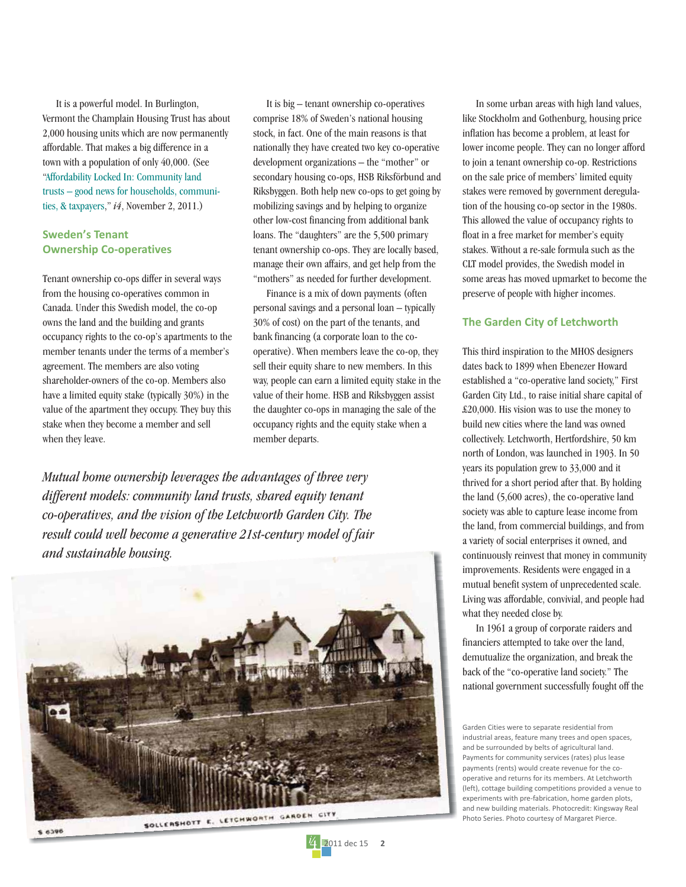It is a powerful model. In Burlington, Vermont the Champlain Housing Trust has about 2,000 housing units which are now permanently affordable. That makes a big difference in a town with a population of only 40,000. (See "Affordability Locked In: Community land trusts - good news for households, communities, & taxpayers,"  $i4$ , November 2, 2011.)

### **Sweden's Tenant Ownership Co-operatives**

Tenant ownership co-ops differ in several ways from the housing co-operatives common in Canada. Under this Swedish model, the co-op owns the land and the building and grants occupancy rights to the co-op's apartments to the member tenants under the terms of a member's agreement. The members are also voting shareholder-owners of the co-op. Members also have a limited equity stake (typically 30%) in the value of the apartment they occupy. They buy this stake when they become a member and sell when they leave.

It is big – tenant ownership co-operatives comprise 18% of Sweden's national housing stock, in fact. One of the main reasons is that nationally they have created two key co-operative development organizations - the "mother" or secondary housing co-ops, HSB Riksförbund and Riksbyggen. Both help new co-ops to get going by mobilizing savings and by helping to organize other low-cost financing from additional bank loans. The "daughters" are the 5,500 primary tenant ownership co-ops. They are locally based, manage their own affairs, and get help from the "mothers" as needed for further development.

Finance is a mix of down payments (often personal savings and a personal loan - typically 30% of cost) on the part of the tenants, and bank financing (a corporate loan to the cooperative). When members leave the co-op, they sell their equity share to new members. In this way, people can earn a limited equity stake in the value of their home. HSB and Riksbyggen assist the daughter co-ops in managing the sale of the occupancy rights and the equity stake when a member departs.

2011 dec 15

 $\overline{\phantom{a}}$ 

Mutual home ownership leverages the advantages of three very different models: community land trusts, shared equity tenant co-operatives, and the vision of the Letchworth Garden City. The result could well become a generative 21st-century model of fair and sustainable bousing.



In some urban areas with high land values, like Stockholm and Gothenburg, housing price inflation has become a problem, at least for lower income people. They can no longer afford to join a tenant ownership co-op. Restrictions on the sale price of members' limited equity stakes were removed by government deregulation of the housing co-op sector in the 1980s. This allowed the value of occupancy rights to float in a free market for member's equity stakes. Without a re-sale formula such as the CLT model provides, the Swedish model in some areas has moved upmarket to become the preserve of people with higher incomes.

#### **The Garden City of Letchworth**

This third inspiration to the MHOS designers dates back to 1899 when Ebenezer Howard established a "co-operative land society," First Garden City Ltd., to raise initial share capital of £20,000. His vision was to use the money to build new cities where the land was owned collectively. Letchworth, Hertfordshire, 50 km north of London, was launched in 1903. In 50 years its population grew to 33,000 and it thrived for a short period after that. By holding the land (5,600 acres), the co-operative land society was able to capture lease income from the land, from commercial buildings, and from a variety of social enterprises it owned, and continuously reinvest that money in community improvements. Residents were engaged in a mutual benefit system of unprecedented scale. Living was affordable, convivial, and people had what they needed close by.

In 1961 a group of corporate raiders and financiers attempted to take over the land, demutualize the organization, and break the back of the "co-operative land society." The national government successfully fought off the

Garden Cities were to separate residential from industrial areas, feature many trees and open spaces, and be surrounded by belts of agricultural land. Payments for community services (rates) plus lease payments (rents) would create revenue for the cooperative and returns for its members. At Letchworth (left), cottage building competitions provided a venue to experiments with pre-fabrication, home garden plots, and new building materials. Photocredit: Kingsway Real Photo Series. Photo courtesy of Margaret Pierce.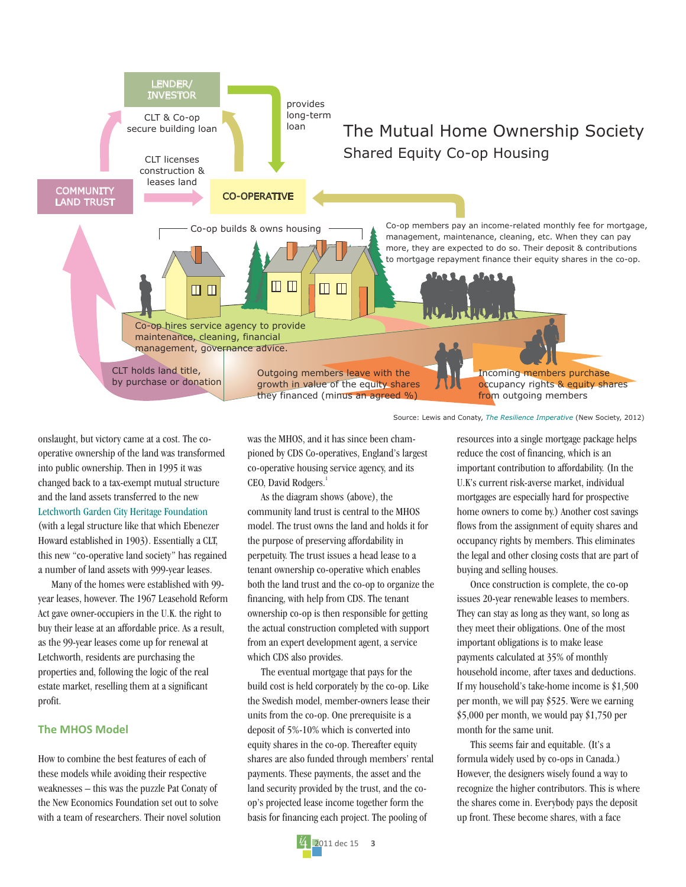

onslaught, but victory came at a cost. The cooperative ownership of the land was transformed into public ownership. Then in 1995 it was changed back to a tax-exempt mutual structure and the land assets transferred to the new Letchworth Garden City Heritage Foundation (with a legal structure like that which Ebenezer Howard established in 1903). Essentially a CLT, this new "co-operative land society" has regained a number of land assets with 999-year leases.

Many of the homes were established with 99vear leases, however. The 1967 Leasehold Reform Act gave owner-occupiers in the U.K. the right to buy their lease at an affordable price. As a result, as the 99-year leases come up for renewal at Letchworth, residents are purchasing the properties and, following the logic of the real estate market, reselling them at a significant profit.

#### **The MHOS Model**

How to combine the best features of each of these models while avoiding their respective weaknesses - this was the puzzle Pat Conaty of the New Economics Foundation set out to solve with a team of researchers. Their novel solution was the MHOS, and it has since been championed by CDS Co-operatives, England's largest co-operative housing service agency, and its CEO, David Rodgers.

As the diagram shows (above), the community land trust is central to the MHOS model. The trust owns the land and holds it for the purpose of preserving affordability in perpetuity. The trust issues a head lease to a tenant ownership co-operative which enables both the land trust and the co-op to organize the financing, with help from CDS. The tenant ownership co-op is then responsible for getting the actual construction completed with support from an expert development agent, a service which CDS also provides.

The eventual mortgage that pays for the build cost is held corporately by the co-op. Like the Swedish model, member-owners lease their units from the co-op. One prerequisite is a deposit of 5%-10% which is converted into equity shares in the co-op. Thereafter equity shares are also funded through members' rental payments. These payments, the asset and the land security provided by the trust, and the coop's projected lease income together form the basis for financing each project. The pooling of



resources into a single mortgage package helps reduce the cost of financing, which is an important contribution to affordability. (In the U.K's current risk-averse market, individual mortgages are especially hard for prospective home owners to come by.) Another cost savings flows from the assignment of equity shares and occupancy rights by members. This eliminates the legal and other closing costs that are part of buying and selling houses.

Once construction is complete, the co-op issues 20-year renewable leases to members. They can stay as long as they want, so long as they meet their obligations. One of the most important obligations is to make lease payments calculated at 35% of monthly household income, after taxes and deductions. If my household's take-home income is \$1,500 per month, we will pay \$525. Were we earning \$5,000 per month, we would pay \$1,750 per month for the same unit.

This seems fair and equitable. (It's a formula widely used by co-ops in Canada.) However, the designers wisely found a way to recognize the higher contributors. This is where the shares come in. Everybody pays the deposit up front. These become shares, with a face

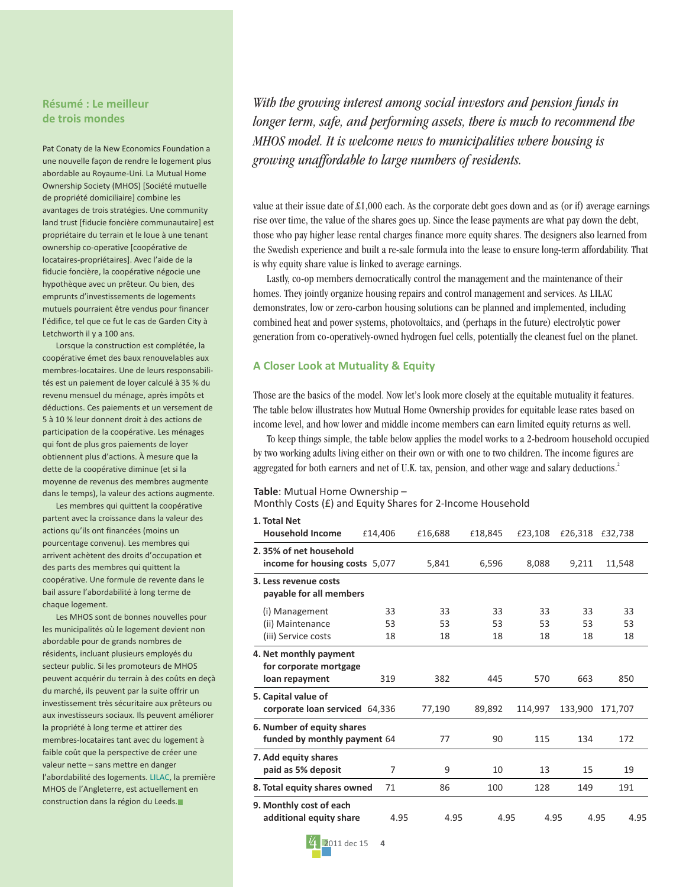#### **Résumé : Le meilleur de trois mondes**

Pat Conaty de la New Economics Foundation a une nouvelle façon de rendre le logement plus abordable au Royaume-Uni. La Mutual Home Ownership Society (MHOS) [Société mutuelle de propriété domiciliaire] combine les avantages de trois stratégies. Une community land trust [fiducie foncière communautaire] est propriétaire du terrain et le loue à une tenant ownership co-operative [coopérative de locataires-propriétaires]. Avec l'aide de la fiducie foncière, la coopérative négocie une hypothèque avec un prêteur. Ou bien, des emprunts d'investissements de logements mutuels pourraient être vendus pour financer l'édifice, tel que ce fut le cas de Garden City à Letchworth il y a 100 ans.

Lorsque la construction est complétée, la coopérative émet des baux renouvelables aux membres-locataires. Une de leurs responsabilités est un paiement de loyer calculé à 35 % du revenu mensuel du ménage, après impôts et déductions. Ces paiements et un versement de 5 à 10 % leur donnent droit à des actions de participation de la coopérative. Les ménages qui font de plus gros paiements de loyer obtiennent plus d'actions. À mesure que la dette de la coopérative diminue (et si la moyenne de revenus des membres augmente dans le temps), la valeur des actions augmente.

Les membres qui quittent la coopérative partent avec la croissance dans la valeur des actions qu'ils ont financées (moins un pourcentage convenu). Les membres qui arrivent achètent des droits d'occupation et des parts des membres qui quittent la coopérative. Une formule de revente dans le bail assure l'abordabilité à long terme de chaque logement.

Les MHOS sont de bonnes nouvelles pour les municipalités où le logement devient non abordable pour de grands nombres de résidents, incluant plusieurs employés du secteur public. Si les promoteurs de MHOS peuvent acquérir du terrain à des coûts en deçà du marché, ils peuvent par la suite offrir un investissement très sécuritaire aux prêteurs ou aux investisseurs sociaux. Ils peuvent améliorer la propriété à long terme et attirer des membres-locataires tant avec du logement à faible coût que la perspective de créer une valeur nette – sans mettre en danger [l'abordabilité des logements. LILAC, la première](http://www.lilac.coop/) MHOS de l'Angleterre, est actuellement en construction dans la région du Leeds.

With the growing interest among social investors and pension funds in longer term, safe, and performing assets, there is much to recommend the MHOS model. It is welcome news to municipalities where housing is growing unaffordable to large numbers of residents.

value at their issue date of £1,000 each. As the corporate debt goes down and as (or if) average earnings rise over time, the value of the shares goes up. Since the lease payments are what pay down the debt, those who pay higher lease rental charges finance more equity shares. The designers also learned from the Swedish experience and built a re-sale formula into the lease to ensure long-term affordability. That is why equity share value is linked to average earnings.

Lastly, co-op members democratically control the management and the maintenance of their homes. They jointly organize housing repairs and control management and services. As LILAC demonstrates, low or zero-carbon housing solutions can be planned and implemented, including combined heat and power systems, photovoltaics, and (perhaps in the future) electrolytic power generation from co-operatively-owned hydrogen fuel cells, potentially the cleanest fuel on the planet.

#### **A Closer Look at Mutuality & Equity**

Those are the basics of the model. Now let's look more closely at the equitable mutuality it features. The table below illustrates how Mutual Home Ownership provides for equitable lease rates based on income level, and how lower and middle income members can earn limited equity returns as well.

To keep things simple, the table below applies the model works to a 2-bedroom household occupied by two working adults living either on their own or with one to two children. The income figures are aggregated for both earners and net of U.K. tax, pension, and other wage and salary deductions.<sup>2</sup>

#### **Table**: Mutual Home Ownership –

Monthly Costs (£) and Equity Shares for 2-Income Household

| 1. Total Net                                                       |         |         |         |         |         |         |
|--------------------------------------------------------------------|---------|---------|---------|---------|---------|---------|
| <b>Household Income</b>                                            | £14,406 | £16,688 | £18,845 | £23,108 | £26,318 | £32,738 |
| 2.35% of net household<br>income for housing costs 5,077           |         | 5,841   | 6,596   | 8,088   | 9,211   | 11,548  |
| 3. Less revenue costs<br>payable for all members                   |         |         |         |         |         |         |
| (i) Management                                                     | 33      | 33      | 33      | 33      | 33      | 33      |
| (ii) Maintenance                                                   | 53      | 53      | 53      | 53      | 53      | 53      |
| (iii) Service costs                                                | 18      | 18      | 18      | 18      | 18      | 18      |
| 4. Net monthly payment<br>for corporate mortgage<br>loan repayment | 319     | 382     | 445     | 570     | 663     | 850     |
| 5. Capital value of<br>corporate loan serviced 64,336              |         | 77,190  | 89,892  | 114,997 | 133,900 | 171,707 |
| 6. Number of equity shares<br>funded by monthly payment 64         |         | 77      | 90      | 115     | 134     | 172     |
| 7. Add equity shares<br>paid as 5% deposit                         | 7       | 9       | 10      | 13      | 15      | 19      |
| 8. Total equity shares owned                                       | 71      | 86      | 100     | 128     | 149     | 191     |
| 9. Monthly cost of each<br>additional equity share                 | 4.95    | 4.95    | 4.95    | 4.95    | 4.95    | 4.95    |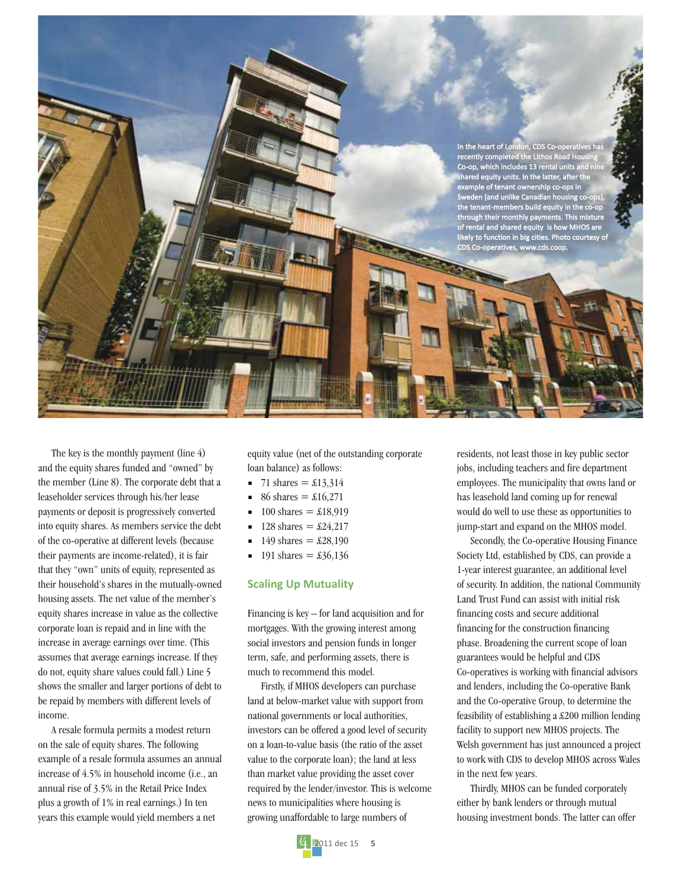

The key is the monthly payment (line 4) and the equity shares funded and "owned" by the member (Line 8). The corporate debt that a leaseholder services through his/her lease payments or deposit is progressively converted into equity shares. As members service the debt of the co-operative at different levels (because their payments are income-related), it is fair that they "own" units of equity, represented as their household's shares in the mutually-owned housing assets. The net value of the member's equity shares increase in value as the collective corporate loan is repaid and in line with the increase in average earnings over time. (This assumes that average earnings increase. If they do not, equity share values could fall.) Line 5 shows the smaller and larger portions of debt to be repaid by members with different levels of income.

A resale formula permits a modest return on the sale of equity shares. The following example of a resale formula assumes an annual increase of 4.5% in household income (i.e., an annual rise of 3.5% in the Retail Price Index plus a growth of 1% in real earnings.) In ten years this example would yield members a net

equity value (net of the outstanding corporate loan balance) as follows:

- 71 shares =  $\pounds13,314$
- 86 shares =  $\pounds16.271$
- 100 shares =  $\pounds$ 18,919
- 128 shares =  $\pounds24,217$
- 149 shares =  $\pounds 28,190$
- 191 shares =  $\pounds36,136$

#### **Scaling Up Mutuality**

Financing is key – for land acquisition and for mortgages. With the growing interest among social investors and pension funds in longer term, safe, and performing assets, there is much to recommend this model.

Firstly, if MHOS developers can purchase land at below-market value with support from national governments or local authorities, investors can be offered a good level of security on a loan-to-value basis (the ratio of the asset value to the corporate loan); the land at less than market value providing the asset cover required by the lender/investor. This is welcome news to municipalities where housing is growing unaffordable to large numbers of



Secondly, the Co-operative Housing Finance Society Ltd, established by CDS, can provide a 1-year interest guarantee, an additional level of security. In addition, the national Community Land Trust Fund can assist with initial risk financing costs and secure additional financing for the construction financing phase. Broadening the current scope of loan guarantees would be helpful and CDS Co-operatives is working with financial advisors and lenders, including the Co-operative Bank and the Co-operative Group, to determine the feasibility of establishing a £200 million lending facility to support new MHOS projects. The Welsh government has just announced a project to work with CDS to develop MHOS across Wales in the next few years.

Thirdly, MHOS can be funded corporately either by bank lenders or through mutual housing investment bonds. The latter can offer